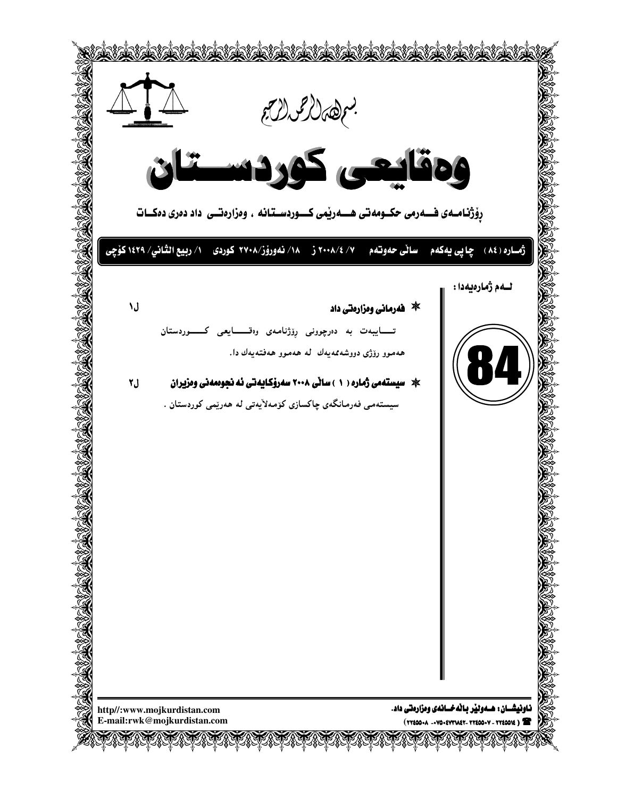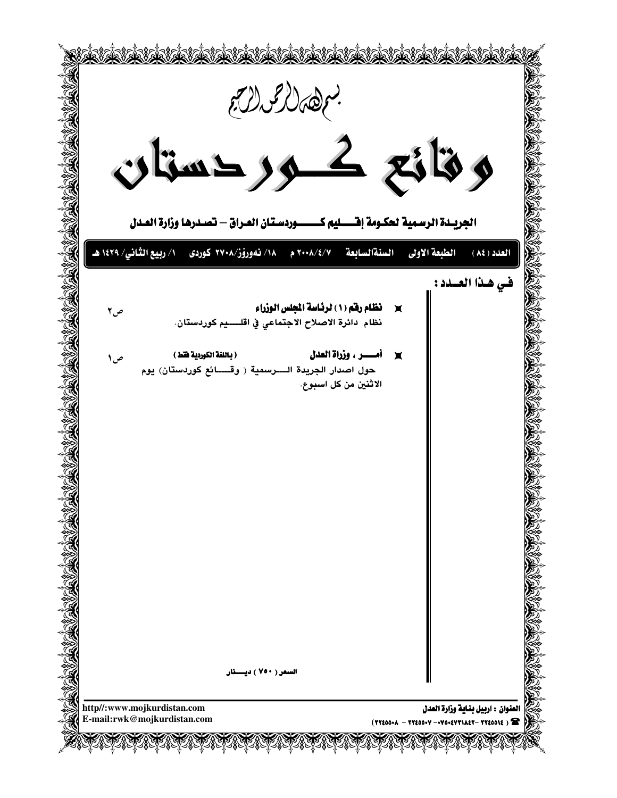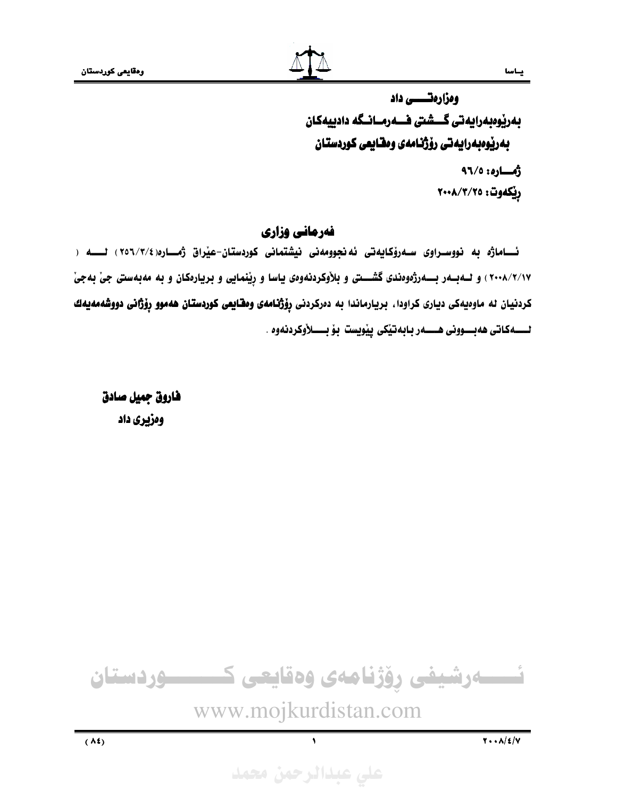ومزارمتــــــــــ داد بەريوبەرايەتى گـــشتى فـــەرمــانــگە دادييەكان بەرپوەبەرايەتى رۆژنامەى وەشايعى كوردستان

> رُهـاره: ٩٦/٥ ريكەوت: ٢٠٠٨/٣/٢٥

يساسا

## فهرماني وزاري

ئـــاماژه به نووسـراوی ســەرۆكـايەتى ئەنجوومەنى نيشتمانى كوردستان-عيراق ژمـــارە(٢/٢/٤)، لـــــه ( ۰۲۰۰۸/۲/۱۷) و لـه بـه رژموه در گشــتی و بلاوکردنهوهی یاسا و رِیْنمایی و بریارهکان و به مهبهستی جیْ بهجی کردنیان له ماوهیهکی دیاری کراودا، بریارماندا به دهرکردنی **رِوْژنامهی ومقایعی کوردستان ههموو رِوْژانی دووشهمهیه**ك لـــــــهكـاتى ههبــــوونى هـــــــــهر بــابهتێكى پێويست بـۆ بـــــــــــا(وكردنهوه .

فاروق جميل صادق ومزيري داد



www.mojkurdistan.com

على عبدالرحمن محمد

 $\sqrt{2}$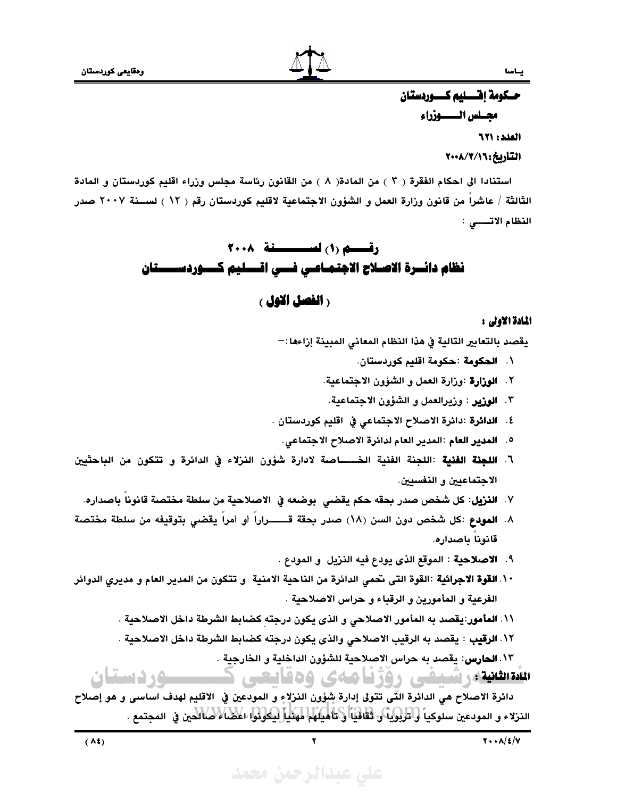حسكومة إفتسليم كسسوردستان مجسلس المسسبوزراء العدد: ٦٢١

التأريخ: ٢٠٠٨/٣/١

استنادا الى احكام الفقرة ( ٣ ) من المادة( ٨ ) من القانون رئاسة مجلس وزراء اقليم كوردستان و المادة الثالثة / عاشرا من قانون وزارة العمل و الشؤون الاجتماعية لاقليم كوردستان رقم ( ١٢ ) لســـنة ٢٠٠٧ صدر النظام الاتــــى :

# رقسيم (١) لسيسسينة ٢٠٠٨ نظام دائسرة الاصلاح الاجتمـاعـي فسـي اقــــليم كــــوردســـــتان

## رالفصل الاول ،

### المادة الاولى :

يقصد بالتعابير التالية في هذا النظام المعانى المبينة إزاءها:—

- \. الحكومة :حكومة اقليم كوردستان.
- ٢. الوزارة :وزارة العمل و الشؤون الاجتماعية.
- ٣. الوزير : وزيرالعمل و الشؤون الاجتماعية.
- ٤. الدائرة :دائرة الاصلاح الاجتماعي في اقليم كوردستان .
	- ٥. المدير العام :المدير العام لدائرة الاصلاح الاجتماعي.
- ٦. **اللجنة الفنية** :اللجنة الفنية الخـــــاصة لادارة شؤون النزلاء في الدائرة و تتكون من الباحثيين الاجتماعيين و النفسيين.
	- ٧. **النزيل**: كل شخص صدر بحقه حكم يقضى بوضعه في الاصلاحية من سلطة مختصة قانوناً باصداره.
- ٨. المودع :كل شخص دون السن (١٨) صدر بحقة قـــــــراراً أو أمراً يقضى بتوقيفه من سلطة مختصة قانونا باصداره.
	- ٩. الاصلاحية : الموقع الذي يودع فيه النزيل و المودع .
- ١٠.ا**لقوة الاجرائية** :القوة التى نحمى الدائرة من الناحية الامنية و تتكون من المدير العام و مديرى الدوائر الفرعية و المأمورين و الرقباء و حراس الاصلاحية .
	- \\. **المأمور**:يقصد به المأمور الاصلاحي و الذي يكون درجته كضابط الشرطة داخل الاصلاحية .
	- ١٢. الرقيب : يقصد به الرقيب الاصلاحي والذي يكون درجته كضابط الشرطة داخل الاصلاحية .

١٣. الحارس: يقصد به حراس الاصلاحية للشؤون الداخلية و الخارجية .

تقطیلارشنفی روژنامهی وهایعی د

دائرة الاصلاح هي الدائرة الَّتِّي تتولى إدارة شؤون النزلاءِ و المودعين في الاقليم لهدف اساسي و هو إصلاح النزلاء و المودعين سلوكياً و تربوياً و ثقافياً و تأميلهم مهنّياً ليكونوا اعضًا لا صالحين في المجتمع .

**مستقرر دستان**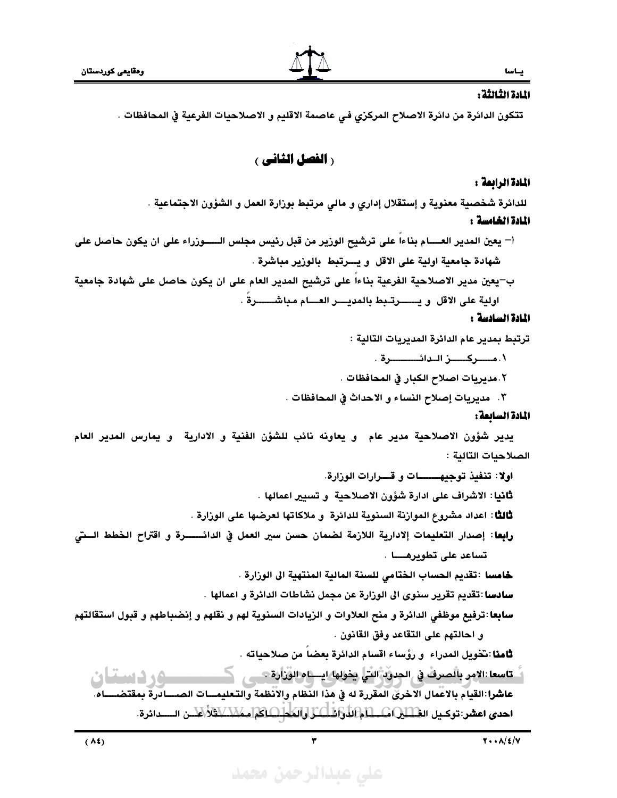## الادة الثالثة :

تتكون الدائرة من دائرة الاصلاح المركزي في عاصمة الاقليم و الاصلاحيات الفرعية في المحافظات .

**( الفصل الثاني )** 

### المادة الرابعة :

للدائرة شخصية معنوية و إستقلال إداري و مالي مرتبط بوزارة العمل و الشؤون الاجتماعية .

### المادة الخامسة :

- أ– يعين المدير العــــام بناءا على ترشيح الوزير من قبل رئيس مجلس الــــــوزراء على ان يكون حاصل على شهادة جامعية اولية على الاقل و يسرتبط بالوزير مباشرة .
- ب–يعين مدير الاصلاحية الفرعية بناءاً على ترشيح المدير العام على ان يكون حاصل على شهادة جامعية اولية على الاقل و يـــــــــرتــبط بالمديــــــر العـــــام مباشــــــــرةً .

### المادة السادسة :

ترتبط بمدير عام الدائرة المديريات التالية :

٠. مـــــركـــــــز الــدائــــــــــــرة ٠

٢.مديريات اصلاح الكبار في المحافظات .

٢. مديريات إصلاح النساء و الاحداث في المحافظات .

### المادة السائعة :

يدير شؤون الاصلاحية مدير عام ٍ و يعاونه نائب للشؤن الفنية و الادارية ٍ و يمارس المدير العام الصلاحيات التالية :

اولا: تنفيذ توجيهـــــــــات و قـــــرارات الوزارة.

ثانيا: الاشراف على ادارة شؤون الاصلاحية ۚ و تسيير اعمالها .

ثالثًا: اعداد مشروع الموارْنة السنوية للدائرة و ملاكاتها لعرضها على الورارة .

رابِعا: إصدار التعليمات إلادارية اللازمة لضمان حسن سير العمل في الدائــــــرة و اقتراح الخطط الــتى تساعد على تطويرهــــا .

خامسا :تقديم الحساب الختامى للسنة المالية المنتهية الى الوزارة .

سادسا :تقديم تقرير سنوي الى الوزارة عن مجمل نشاطات الدائرة و اعمالها .

سابِعا :ترفيع موظفى الدائرة و منح العلاوات و الزيادات السنوية لهم و نقلهم و إنضباطهم و قبول استقالتهم و احالتهم على التقاعد وفق القانون .

ثامنا :تخويل المدراء ۚ و رؤساء اقسام الدائرة بعضا من صلاحياته .

duid 3 Om عاشرا:القيام بالاعمال الاخرى المقررة له في هذا النظام والانظمة والتعليمـــات الصـــــادرة بمقتضــ احدى اعشر:توكيل الطِّلَيْلِاسْــــالْمَاءَلْدَاوَاطْـــالْـــالْــالْمَــالْــاكْمَ[مـمَلاًــابالثَّلأَ/عَلْس الـــــدائرة.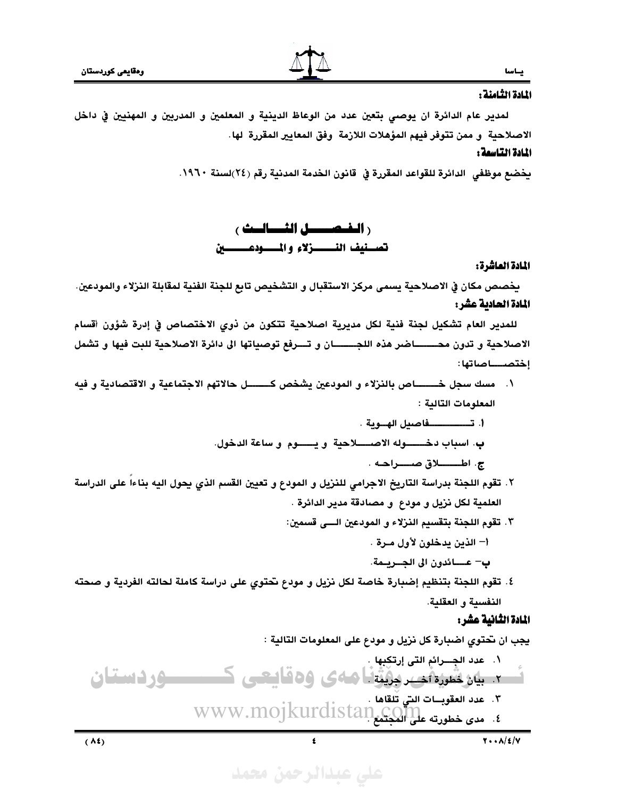## يساليا المادة الثامنة :

لمدير عام الدائرة ان يوصىي بتعين عدد من الوعاظ الدينية و المعلمين و المدربين و المهنيين في داخل الاصلاحية و ممن تتوفر فيهم المؤهلات اللازمة وفق المعايير المقررة لها.

## المادة التاسمة :

يخضع موظفى الدائرة للقواعد المقررة في قانون الخدمة المدنية رقم (٢٤)لسنة ١٩٦٠.

**ر الخصيصل الثيساليث ع** تصفيف النــــــزلاء والمـــــودعــــــــين

#### المادة العاشرة:

يخصص مكان في الاصلاحية يسمى مركز الاستقبال و التشخيص تابع للجنة الفنية لمقابلة النزلاء والمودعين. المادة الحادية عشر:

للمدير العام تشكيل لجنة فنية لكل مديرية اصلاحية تتكون من ذوي الاختصاص في إدرة شؤون أقسام الاصلاحية و تدون محــــــاضر هذه اللجـــــــان و تـــرفع توصياتها الى دائرة الاصلاحية للبت فيها و تشمل إختصـــــاصاتها :

- ١. مسك سجل خـــــــاص بالنزلاء و المودعين يشخص كـــــــل حالاتهم الاجتماعية و الاقتصادية و فيه المعلومات التالية :
	- أ. تـــــــــــــــفاصيل الهـــوية . ب. اسباب دخــــــــوله الاصـــــــلاحية و يــــــــوم و ساعة الدخول.
		- ج. اطــــــــــــلاق صــــــــراحــه .
- ٢. تقوم اللجنة بدراسة التاريخ الاجرامي للنزيل و المودع و تعيين القسم الذي يحول اليه بناءا على الدراسة العلمية لكل نريل و مودع ۖ و مصادقة مدير الدائرة .
	- ٣. تقوم اللجنة بتقسيم النزلاء و المودعين السي قسمين:
		- أ– الذين يدخلون لأول مـرة .
		- ب— عـــــائدون الى الجـــريــمة.
- ٤. تقوم اللجنة بتنظيم إضبارة خاصة لكل نزيل و مودع تحتوي على دراسة كاملة لحالته الفردية و صحته النفسية و العقلية.

### المادة الثانية عشر:

 $Y \cdot \cdot \Lambda/\mathcal{E}/V$ 

 $(\lambda t)$ 

على عبدالرحمن محمد

 $\epsilon$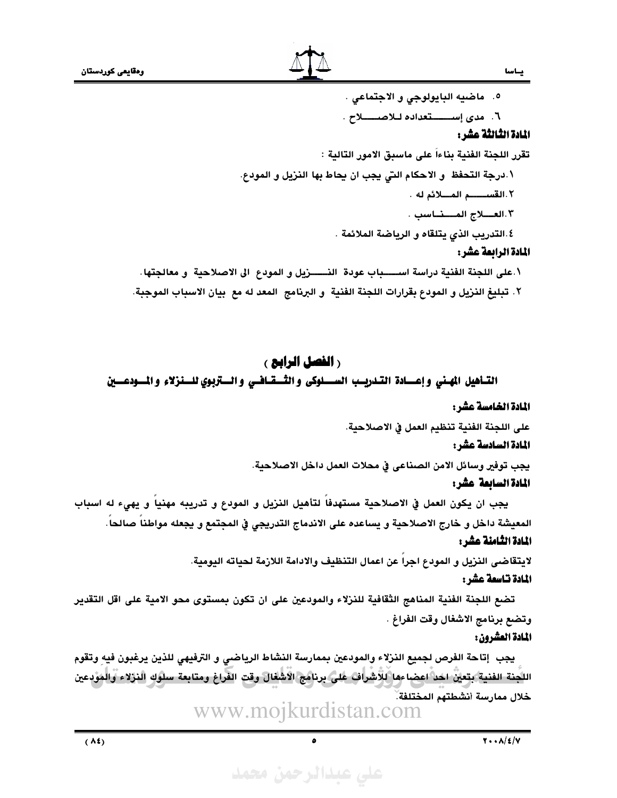

٥. ماضيه البايولوجي و الاجتماعي .

٦. مدى إسسستعداده للاصسلاح.

### المادة الثالثة عشر:

يساسا

تقرر اللجنة الفنية بناءاً على ماسبق الامور التالية :

٠.درجة التحفظ و الاحكام التي يجب ان يحاط بها النزيل و المودع.

٢.القســـــم المــلائم له .

- ١.٣ العــــلاج المــــــنـــاسب .
- ٤.التدريب الذي يتلقاه و الرياضة الملائمة .

### المادة الرابعة عشر:

- ١.على اللجنة الفنية دراسة اســـــباب عودة النـــــــزيل و المودع الى الاصلاحية ۚ و معالجتها.
- ٢. تبليغ النزيل و المودع بقرارات اللجنة الفنية و البرنامج المعد له مع بيان الاسباب الموجبة.

## **( الفصل الرابع )**

### التناهيل المهني وإعسادة التدريسب السسلوكى والثسقافسي والستزبوي للسنزلاء والمسودعسين

#### المادة الخامسة عشر :

على اللجنة الفنية تنظيم العمل في الاصلاحية.

#### المادة السادسة عشر:

يجب توفير وسائل الامن الصناعي في محلات العمل داخل الاصلاحية.

### المادة السابعة عشر:

يجب ان يكون العمل في الاصلاحية مستهدفاً لتأهيل النزيل و المودع و تدريبه مهنياً و يهيء له اسباب المعيشة داخل و خارج الاصلاحية و يساعده على الاندماج التدريجي في المجتمع و يجعله مواطنا صالحا. المادة الثامنة عشر:

> لايتقاضى النزيل و المودع اجرا عن اعمال التنظيف والادامة اللازمة لحياته اليومية. المادة تناسعة عشر:

تضع اللجنة الفنية المناهج الثقافية للنزلاء والمودعين على ان تكون بمستوى محو الامية على اقل التقدير وتضع برنامج الاشغال وقت الفراغ .

### المادة العشرون:

يجب ۖ إتاحة الفرص لجميع النزلاء والمودعين بممارسة النشاط الرياضي و الترفيهي للذين يرغبون فيه وتقوم اللَّجنة الفنية بتعين احد اعضاءها للاشراف على برنامج الاشغال وقت الفراغ ومتابعة سلوك النزلاء والمودعين خلال ممارسة أنشطتهم المختلفة.

www.mojkurdistan.com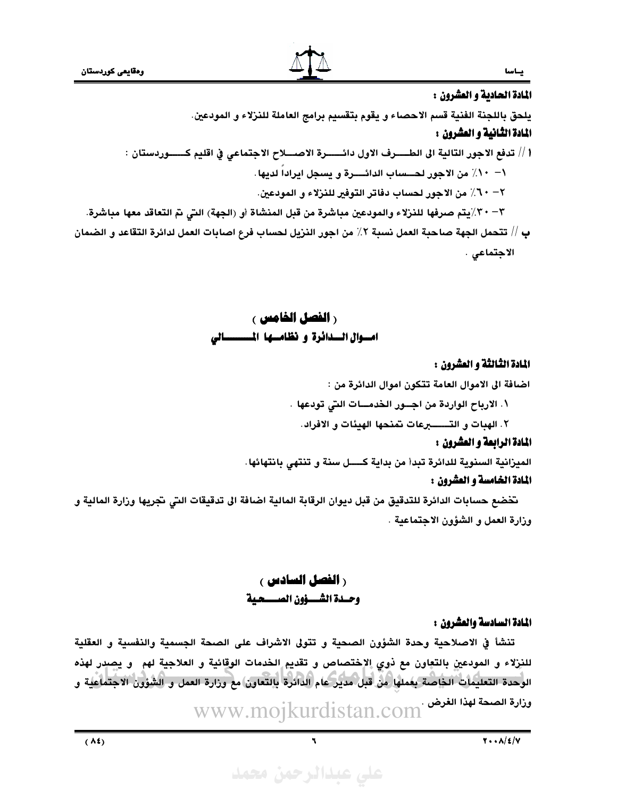## ياسا المادة الحادية و العشرون :

يلحق باللجنة الفنية قسم الاحصاء و يقوم بتقسيم برامج العاملة للنزلاء و المودعين.

## المادة الثانية و العشروز :

أ // تدفع الاجور التالية الى الطــــــرف الاول دائــــــــرة الاصـــــلاح الاجتماعي في اقليم كـــــــوردستان : \– 17/ من الاجور لحـــساب الدائــــرة و يسجل ايراداً لديها . ٢ - ٦٠٪ من الاجور لحساب دفاتر التوفير للنزلاء و المودعين. ٣ - ٣٪ يتم صرفها للنزلاء والمودعين مباشرة من قبل المنشاة أو (الجهة) التي تم التعاقد معها مباشرة.

بِ // تتحمل الجهة صاحبة العمل نسبة ٢٪ من اجور النزيل لحسابٍ فرع اصابات العمل لدائرة التقاعد و الضمان الاجتماعي .

> **ر الفصل الخامس ›** امسوال السدائرة و نظامها المسسسالي

### المادة الثالثة و العشروز :

اضافة الى الاموال العامة تتكون اموال الدائرة من :

١. الارباح الواردة من اجسور الخدمسات التي تودعها .

### المادة الرابعة و العشرون :

الميزانية السنوية للدائرة تبدأ من بداية كــــل سنة و تنتهي بانتهائها.

### المادة الخامسة و العشرون :

تخضع حسابات الدائرة للتدقيق من قبل ديوان الرقابة المالية اضافة الى تدقيقات التي تجريها وزارة المالية و وزارة العمل و الشؤون الاجتماعية .

## **ر الفصل السادس ع** وحسدة الشسسؤون الصسسحية

### المادة السادسة والعشرون :

تنشأ في الاصلاحية وحدة الشؤون الصحية و تتولى الاشراف على الصحة الجسمية والنفسية و العقلية للنزلاء و المودعينِ بالتعاون مع ذوي الإختصاص و تقديمٍ الخدمات الوقائية و العلاجية لهم و يصدر لهذه الوحدة التعليمات الخاصة بعملها من قبل مدير عام الدائرة بالتعاون مع وزارة العمل و الشؤون الاجتماعية و ىزارة الصحة لهذا الغرض · WWW.mojkurdistan.com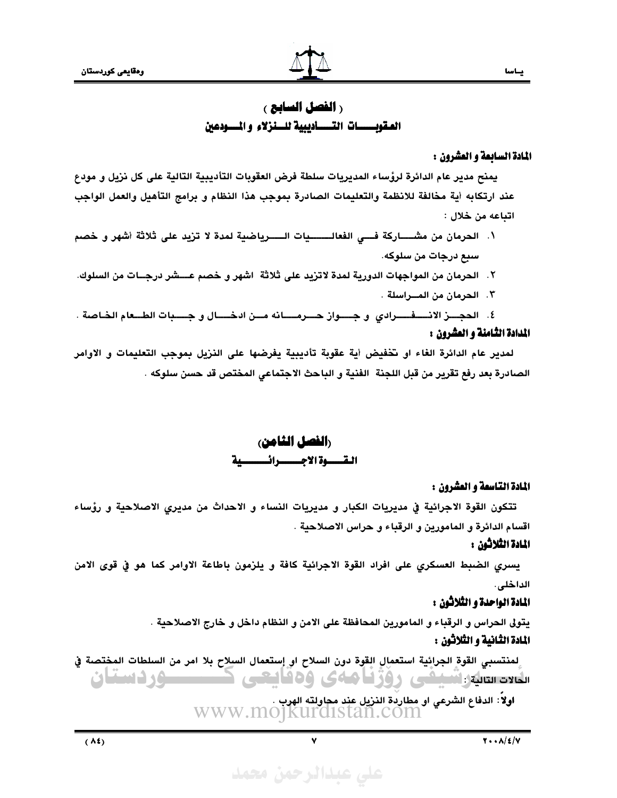## **رالفصل السابع ،** المقويــــات التــــــــاديبية للـــنزلاء والمــــودعين

### المادة السابعة و العشرون :

يمنح مدير عام الدائرة لرؤساء المديريات سلطة فرض العقوبات التأديبية التالية على كل نزيل و مودع عند ارتكابه أية مخالفة للانظمة والتعليمات الصادرة بموجب هذا النظام و برامج التأهيل والعمل الواجب اتباعه من خلال :

- ١. الحرمان من مشــــــاركة فــــى الفعالـــــــــيات الــــــرياضية لمدة لا تزيد على ثلاثة أشهر و خصم سبع درجات من سلوكه.
- ٢. الحرمان من المواجهات الدورية لمدة لاتزيد على ثلاثة اشهر و خصم عـــشر درجــات من السلوك.
	- ٢. الحرمان من المسراسلة .

٤. الحجــــز الانــــــفــــــرادي و جــــــواز حــــرمــــــانه مـــن ادخــــــال و جـــــبات الطـــعام الخـاصة . المدادة الثامنة و العشرون :

لمدير عام الدائرة الغاء او تخفيض أية عقوبة تأديبية يفرضها على النزيل بموجب التعليمات و الاوامر الصادرة بعد رفع تقرير من قبل اللجنة الفنية و الباحث الاجتماعي المختص قد حسن سلوكه .

> رالفصل الثامن، القسموة الاجسسرائسسية

#### المادة التاسعة و العشرون :

تتكون القوة الاجرائية في مديريات الكبار و مديريات النساء و الاحداث من مديري الاصلاحية و رؤساء اقسام الدائرة و المامورين و الرقباء و حراس الاصلاحية .

### المادة الثلاثون :

يسرى الضبط العسكرى على افراد القوة الاجرائية كافة و يلزمون باطاعة الاوامر كما هو في قوى الامن الداخلي.

### المادة الواحدة و الثلاثون :

يتولى الحراس و الرقباء و المامورين المحافظة على الامن و النظام داخل و خارج الاصلاحية . المادة الثانية و الثلاثون :

لمنتسبي القوة الجرائية استعمال القوة دون السلاح او إستعمال السلاح بلا امر من السلطات المختصة في ىلەد سىلەرتىشىشى روزنامەي ۋەقايىتى كىسىسوردىستان

اولاً: الدفاع الشرعي او مطاردة النزيل عند مجاولته الهرب .<br>WWW.MOJKUI'CLISTAN.COM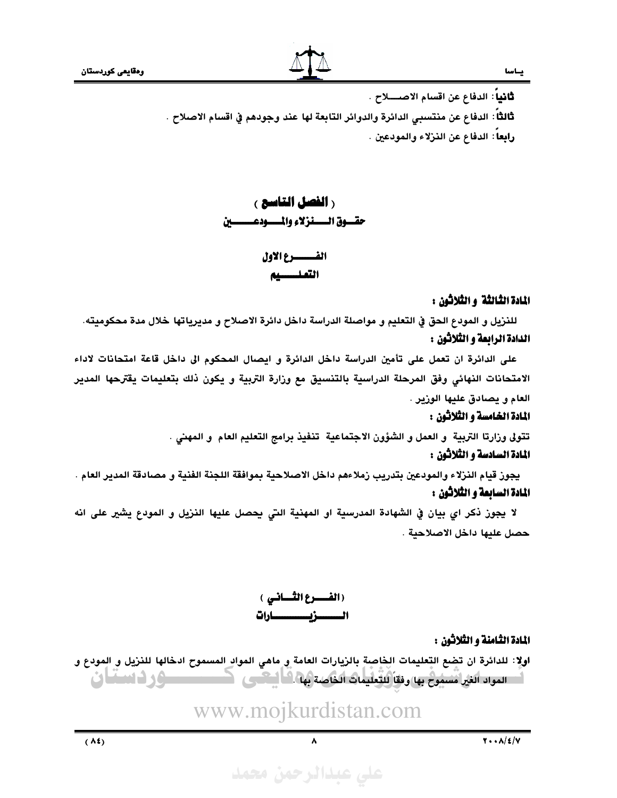ثَانياً: الدفاع عن اقسام الاصــــلاح . ثالثاً: الدفاع عن منتسبي الدائرة والدوائر التابعة لها عند وجودهم في اقسام الاصلاح . رابِعا: الدفاع عن النزلاء والمودعين .

## **ر الفصل التاسع )** حقسوق السسنزلاء والمسسودعسس

## الفسيسرع الاول التعليسيه

### المادة الثالثة و الثلاثون :

للنزيل و المودع الحق في التعليم و مواصلة الدراسة داخل دائرة الاصلاح و مديرياتها خلال مدة محكوميته. الدادة الرابعة و الثلاثون :

على الدائرة ان تعمل على تأمين الدراسة داخل الدائرة و ايصال المحكوم الى داخل قاعة امتحانات لاداء الامتحانات النهائي وفق المرحلة الدراسية بالتنسيق مع وزارة التربية و يكون ذلك بتعليمات يقترحها المدير العام و يصادق عليها الوزير .

### المادة الخامسة و الثلاثون :

تتولى وزارتا التربية و العمل و الشؤون الاجتماعية تنفيذ برامج التعليم العام و المهنى .

## المادة السادسة و الثلاثون :

يجوز قيام النزلاء والمودعين بتدريب زملاءهم داخل الاصلاحية بموافقة اللجنة الفنية و مصادقة المدير العام . المادة السابعة و الثلاثون :

لا يجوز ذكر اي بيان في الشهادة المدرسية او المهنية التي يحصل عليها النزيل و المودع يشير على انه حصل عليها داخل الاصلاحية .

> (الفسسوع الكسيانسي ) الــــــــزيـــــــــــارات

> > المادة الثامنة و الثلاثون :

اولا: للدائرة ان تضع التعليمات الخاصة بالزيارات العامة و ماهي المواد المسموح ادخالها للنزيل و المودع و اسسود الغرائسيوخ به رفقاً للتعليمات الخاصة بها الله البحس كالمستعلى والسائمات

www.mojkurdistan.com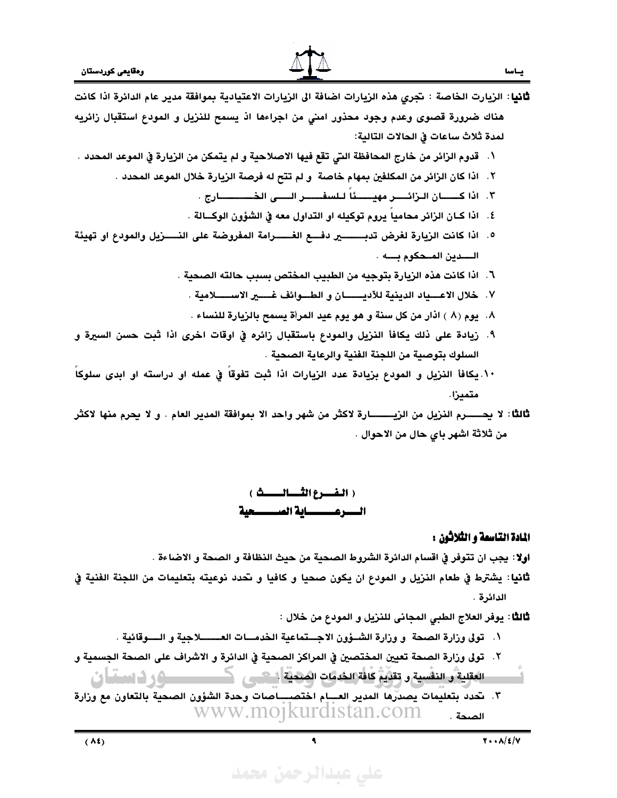

- ثانيا: الزيارت الخاصة : تجرى هذه الزيارات اضافة الى الزيارات الاعتيادية بموافقة مدير عام الدائرة اذا كانت هناك ضرورة قصوى وعدم وجود محذور امنى من اجراءها اذ يسمح للنزيل و المودع استقبال زائريه لمدة ثلاث ساعات في الحالات التالية:
- ١. قدوم الزائر من خارج المحافظة التي تقع فيها الاصلاحية و لم يتمكن من الزيارة في الموعد المحدد .
	- ٢. اذا كان الزائر من المكلفين بمهام خاصة و لم تتح له فرصة الزيارة خلال الموعد المحدد .
		- ٣. اذا كــــــان الـزائـــــر مهيــــــئاً لـلسفــــــر الـــــى الـخــــــــــــارج .
		- ٤. اذا كـان الزائر محاميا يروم توكيله او التداول معه في الشؤون الوكــالة .
- ٥. اذا كانت الزيارة لغرض تدبـــــــــــير دفـــــع الغــــــــرامة المفروضة على النـــــــزيل والمودع او تهيئة الـــدين المـحكوم بـــه .
	- ٦. اذا كانت هذه الزيارة بتوجيه من الطبيب المختص بسبب حالته الصحية .
		- ٧. خلال الاعسياد الدينية للآديسسان و الطسوائف غسـير الاســــــلامية .
		- ٨. يوم (٨ ) اذار من كل سنة و هو يوم عيد المرأة يسمح بالزيارة للنساء .
- ٩. زيادة على ذلك يكافأ النزيل والمودع باستقبال زائره في اوقات اخرى اذا ثبت حسن السيرة و السلوك بتوصية من اللجنة الفنية والرعاية الصحية .
- ١٠. يكافأ النزيل و المودع بزيادة عدد الزيارات اذا ثبت تفوقا في عمله او دراسته او ابدى سلوكاً متمىزا.
- ثالثًا: لا يحـــــــرم النزيل من الزيـــــــــــارة لاكثر من شهر واحد الا بموافقة المدير العام . و لا يحرم منها لاكثر من ثلاثة اشهر باي حال من الاحوال .

( الفسرع الثسسالسسيڤ ) السسرعسسساية الصمسسحية

### المادة التاسعة و الثلاثون :

ياسا

- اولا: يجب ان تتوفر في اقسام الدائرة الشروط الصحية من حيث النظافة و الصحة و الاضاءة .
- **ثاني**ا: يشترط في طعام النزيل و المودع ان يكون صحيا و كافيا و تحدد نوعيته بتعليمات من اللجنة الفنية في الدائرة .

ثالثًا : يوفر العلاج الطبي المجاني للنزيل و المودع من خلال :

١. تولى وزارة الصحة و وزارة الشــؤون الاجـــتماعية الخدمـــات العــــــــلاجية و الـــــوقائية .

- ٢. تولى وزارة الصحة تعيين المختصين في المراكز الصحية في الدائرة و الاشراف على الصحة الجسمية و
	- العَقِلِيَةَ وَالنَفْسِيَةِ وَتَقَدِّيَةٌ كَافَةِ الجُمْعَاتِ الصَحْيَةِ أَسْتَسَبِي المُسْتَسَبِينَ و المسأسان
- ٣. نحدد بتعليمات يصدِّرها المدير العـــام اختصـــِــاصات وحدة الشؤون الصحية بالتعاون مع وزارة www.mojkurdistan.com الصحة .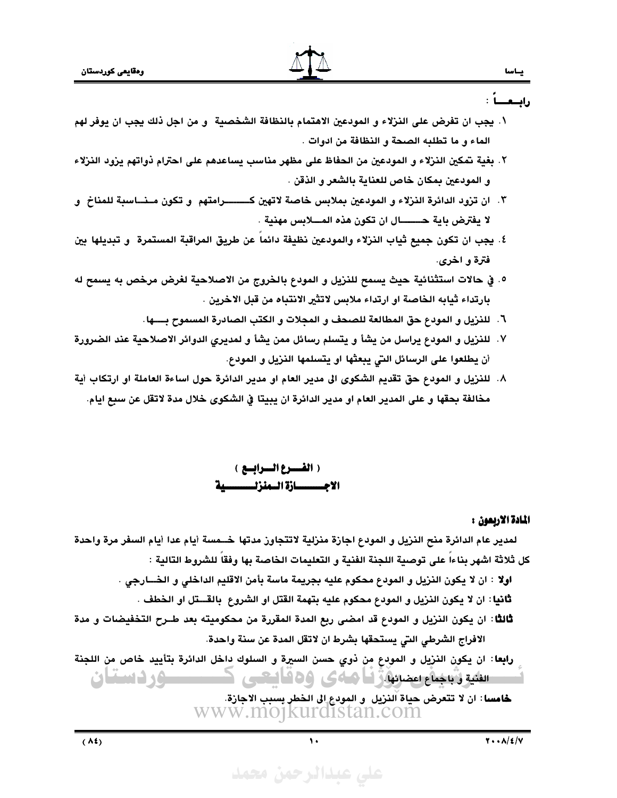- ١. يجب ان تفرض على النزلاء و المودعين الاهتمام بالنظافة الشخصية و من اجل ذلك يجب ان يوفر لهم الماء و ما تطلبه الصحة و النظافة من ادوات .
- ٢. بغية تمكين النزلاء و المودعين من الحفاظ على مظهر مناسب يساعدهم على احترام ذواتهم يزود النزلاء و المودعين بمكان خاص للعناية بالشعر و الذقن .
- ٣. ان تزود الدائرة النزلاء و المودعين بملابس خاصة لاتهين كــــــــرامتهم و تكون مـنـــاسبة للمناخ و
- ٤. يجب ان تكون جميع ثياب النزلاء والمودعين نظيفة دائما عن طريق المراقبة المستمرة ۚ و تبديلها بين فترة و اخرى.
- ٥. في حالات استثنائية حيث يسمح للنزيل و المودع بالخروج من الاصلاحية لغرض مرخص به يسمح له بارتداء ثيابه الخاصة او ارتداء ملابس لاتثير الانتباه من قبل الاخرين .
	- ٦. للنزيل و المودع حق المطالعة للصحف و المجلات و الكتب الصادرة المسموح بــــها.
- ٧. للنزيل و المودع يراسل من يشأ و يتسلم رسائل ممن يشأ و لمديرى الدوائر الاصلاحية عند الضرورة أن يطلعوا على الرسائل التي يبعثها او يتسلمها النزيل و المودع.
- ٨. للنزيل و المودع حق تقديم الشكوى الى مدير العام او مدير الدائرة حول اساءة العاملة او ارتكاب أية مخالفة بحقها و على المدير العام او مدير الدائرة ان يبيتا في الشكوي خلال مدة لاتقل عن سبع ايام.

( الفسوع السوابسع ) الاجــــــازة الــمنزلـــــــــية

#### المادة الاربعون :

لمدير عام الدائرة منح النزيل و المودع اجازة منزلية لاتتجاوز مدتها خــمسة أيام عدا أيام السفر مرة واحدة كل ثلاثة اشهر بناءا على توصية اللجنة الفنية و التعليمات الخاصة بها وفقا للشروط التالية :

- اولا : ان لا يكون النزيل و المودع محكوم عليه بجريمة ماسة بأمن الاقليم الداخلي و الخــــارجي .
	- ثانيا: ان لا يكون النزيل و المودع محكوم عليه بتهمة القتل او الشروع بالقـــتل او الخطف .
- ثالثًا: ان يكون النزيل و المودع قد امضى ربع المدة المقررة من محكوميته بعد طــرح التخفيضات و مدة الافراج الشرطي التي يستحقها بشرط ان لاتقل المدة عن سنة واحدة.

رابعا: ان يكون النزيل و المودع من ذوى حسن السيرة و السلوك داخل الدائرة بتأييد خاص من اللجنة تتفيدة بجناع تمضينيا والماعي وهقا يبحى كمستقصيص واستقات

> خامسا : ان لا تتعرض حياة النزيل و المودع إلى الخطر بسبب الاجازة. www.mojkurdistan.com

على عبدالرحمن محمد

 $\ddot{\phantom{a}}$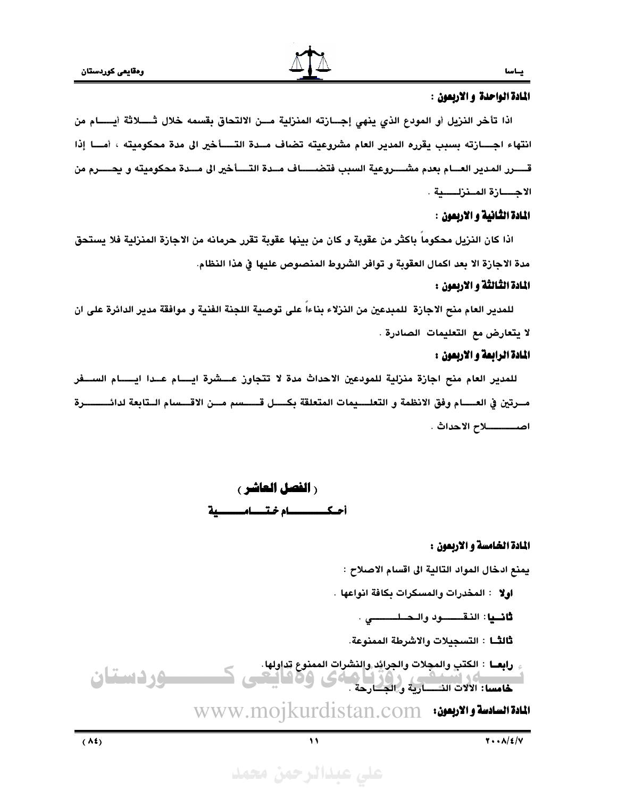

يساسا

### المادة الواحدة و الاربعون :

اذا تأخر النزيل أو المودع الذي ينهي إجــازته المنزلية مـــن الالتحاق بقسمه خلال ثـــــلاثة أيــــــام من انتهاء اجـــازته بسبب يقرره المدير العام مشروعيته تضاف مــدة التــــأخير الى مدة محكوميته ، أمـــا إذا قــــــرر المدير العــــام بعدم مشــــــروعية السبب فتضـــــــاف مـــدة التـــــأخير الى مـــدة محكوميته و يحــــــرم من الاجــــــازة المــنزلـــــــية .

### المادة الثانية و الاربعون :

اذا كان النزيل محكوما باكثر من عقوبة و كان من بينها عقوبة تقرر حرمانه من الاجازة المنزلية فلا يستحق مدة الاجارة الا بعد اكمال العقوبة و توافر الشروط المنصوص عليها في هذا النظام.

### المادة الثالثة و الاربعون :

للمدير العام منح الاجازة للمبدعين من النزلاء بناءا على توصية اللجنة الفنية و موافقة مدير الدائرة على ان لا يتعارض مع التعليمات الصادرة .

### المادة الرابعة و الاربعون :

للمدير العام منح اجازة منزلية للمودعين الاحداث مدة لا تتجاوز عـــشرة ايـــام عــدا ايــــام الســفر مــرتين في العــــــام وفق الانظمة و التعلــــيمات المتعلقة بكـــــل قــــــــــــــمم مــــن الاقــــــــــام الــتابعة لدائــــــــــــرة 



### المادة الخامسة و الاربعون :

يمنع ادخال المواد التالية الى اقسام الاصلاح :

**اولا : المخدرات والمسكرات بكافة انواعها** .

**ثانــيا**: النـقـــــــود والـحــلــــــــــى .

ثالثًــا : التسجيلات والاشرطة الممنوعة.

رابعــا : الكتبِ والمجِلات والجرائِد والنشراتِ الممنوع تداولها. **۵۰ دستان HOC** خامسا: الالات النسسارية والجسارحة .

WWW.MOJkurdistan.com

 $\lambda$